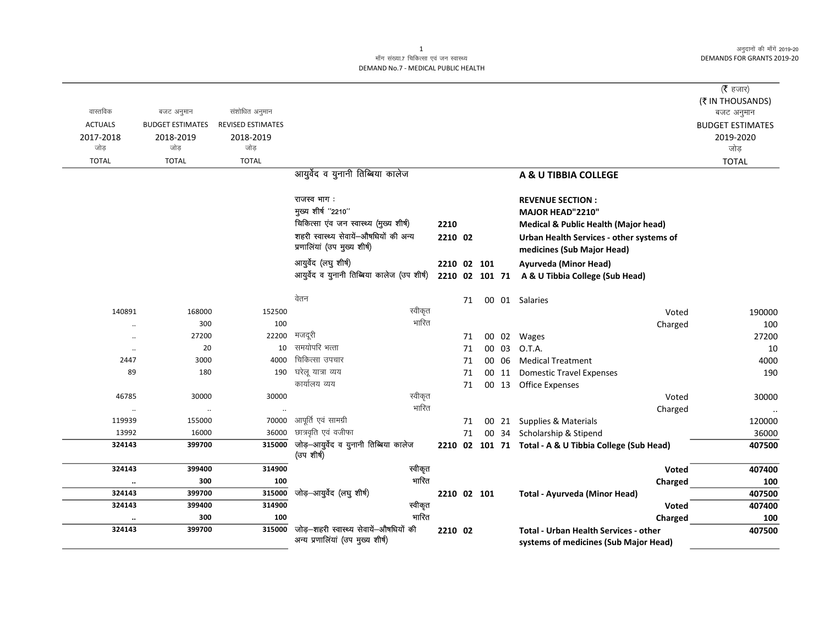अनुदानों की माँगें 2019-20 **DEMANDS FOR GRANTS 2019-20** 

 $\overline{\phantom{0}}$ 

## माँग संख्या.7 चिकित्सा एवं जन स्वास्थ्य DEMAND No.7 - MEDICAL PUBLIC HEALTH

| वास्तविक<br><b>ACTUALS</b><br>2017-2018<br>जोड़ | बजट अनुमान<br><b>BUDGET ESTIMATES</b><br>2018-2019<br>जोड़ | संशोधित अनुमान<br>REVISED ESTIMATES<br>2018-2019<br>जोड़ |                                                                              |                |    |             |       |                                                                                                | (रै हजार)<br>(₹ IN THOUSANDS)<br>बजट अनुमान<br><b>BUDGET ESTIMATES</b><br>2019-2020<br>जोड़ |
|-------------------------------------------------|------------------------------------------------------------|----------------------------------------------------------|------------------------------------------------------------------------------|----------------|----|-------------|-------|------------------------------------------------------------------------------------------------|---------------------------------------------------------------------------------------------|
| <b>TOTAL</b>                                    | <b>TOTAL</b>                                               | <b>TOTAL</b>                                             |                                                                              |                |    |             |       |                                                                                                | <b>TOTAL</b>                                                                                |
|                                                 |                                                            |                                                          | आयुर्वेद व युनानी तिब्बिया कालेज                                             |                |    |             |       | A & U TIBBIA COLLEGE                                                                           |                                                                                             |
|                                                 |                                                            |                                                          | राजस्व भाग:<br>मुख्य शीर्ष "2210"<br>चिकित्सा एंव जन स्वास्थ्य (मुख्य शीर्ष) | 2210           |    |             |       | <b>REVENUE SECTION:</b><br>MAJOR HEAD"2210"<br><b>Medical &amp; Public Health (Major head)</b> |                                                                                             |
|                                                 |                                                            |                                                          | शहरी स्वास्थ्य सेवायें-औषधियों की अन्य<br>प्रणालियां (उप मुख्य शीर्ष)        | 2210 02        |    |             |       | Urban Health Services - other systems of<br>medicines (Sub Major Head)                         |                                                                                             |
|                                                 |                                                            |                                                          | आयुर्वेद (लघु शीर्ष)<br>आयुर्वेद व युनानी तिब्बिया कालेज (उप शीर्ष)          | 2210 02 101 71 |    | 2210 02 101 |       | Ayurveda (Minor Head)<br>A & U Tibbia College (Sub Head)                                       |                                                                                             |
|                                                 |                                                            |                                                          | वेतन                                                                         |                | 71 |             |       | 00 01 Salaries                                                                                 |                                                                                             |
| 140891                                          | 168000                                                     | 152500                                                   | स्वीकृत                                                                      |                |    |             |       | Voted                                                                                          | 190000                                                                                      |
| $\ddotsc$                                       | 300                                                        | 100                                                      | भारित                                                                        |                |    |             |       | Charged                                                                                        | 100                                                                                         |
| $\ddotsc$                                       | 27200                                                      | 22200                                                    | मजदूरी                                                                       |                | 71 |             |       | 00 02 Wages                                                                                    | 27200                                                                                       |
| $\ddot{\phantom{0}}$                            | 20                                                         | 10                                                       | समयोपरि भत्ता                                                                |                | 71 |             | 00 03 | O.T.A.                                                                                         | 10                                                                                          |
| 2447                                            | 3000                                                       | 4000                                                     | चिकित्सा उपचार                                                               |                | 71 |             | 00 06 | <b>Medical Treatment</b>                                                                       | 4000                                                                                        |
| 89                                              | 180                                                        | 190                                                      | घरेलू यात्रा व्यय                                                            |                | 71 |             | 00 11 | <b>Domestic Travel Expenses</b>                                                                | 190                                                                                         |
|                                                 |                                                            |                                                          | कार्यालय व्यय                                                                |                | 71 |             |       | 00 13 Office Expenses                                                                          |                                                                                             |
| 46785                                           | 30000                                                      | 30000                                                    | स्वीकृत                                                                      |                |    |             |       | Voted                                                                                          | 30000                                                                                       |
| $\ddot{\phantom{0}}$                            | $\cdot\cdot$                                               |                                                          | भारित                                                                        |                |    |             |       | Charged                                                                                        |                                                                                             |
| 119939                                          | 155000                                                     | 70000                                                    | आपूर्ति एवं सामग्री                                                          |                | 71 |             |       | 00 21 Supplies & Materials                                                                     | 120000                                                                                      |
| 13992                                           | 16000                                                      | 36000                                                    | छात्रवृति एवं वजीफा                                                          |                | 71 |             |       | 00 34 Scholarship & Stipend                                                                    | 36000                                                                                       |
| 324143                                          | 399700                                                     | 315000                                                   | जोड़-आयुर्वेद व युनानी तिब्बिया कालेज<br>(उप शीर्ष)                          |                |    |             |       | 2210 02 101 71 Total - A & U Tibbia College (Sub Head)                                         | 407500                                                                                      |
| 324143                                          | 399400                                                     | 314900                                                   | स्वीकृत                                                                      |                |    |             |       | <b>Voted</b>                                                                                   | 407400                                                                                      |
| $\ddotsc$                                       | 300                                                        | 100                                                      | भारित                                                                        |                |    |             |       | Charged                                                                                        | 100                                                                                         |
| 324143                                          | 399700                                                     | 315000                                                   | जोड़-आयुर्वेद (लघु शीर्ष)                                                    |                |    | 2210 02 101 |       | Total - Ayurveda (Minor Head)                                                                  | 407500                                                                                      |
| 324143                                          | 399400                                                     | 314900                                                   | स्वीकृत                                                                      |                |    |             |       | Voted                                                                                          | 407400                                                                                      |
| $\cdot$                                         | 300                                                        | 100                                                      | भारित                                                                        |                |    |             |       | Charged                                                                                        | 100                                                                                         |
| 324143                                          | 399700                                                     | 315000                                                   | जोड़–शहरी स्वास्थ्य सेवायें–औषधियों की<br>अन्य प्रणालियां (उप मुख्य शीर्ष)   | 2210 02        |    |             |       | <b>Total - Urban Health Services - other</b><br>systems of medicines (Sub Major Head)          | 407500                                                                                      |